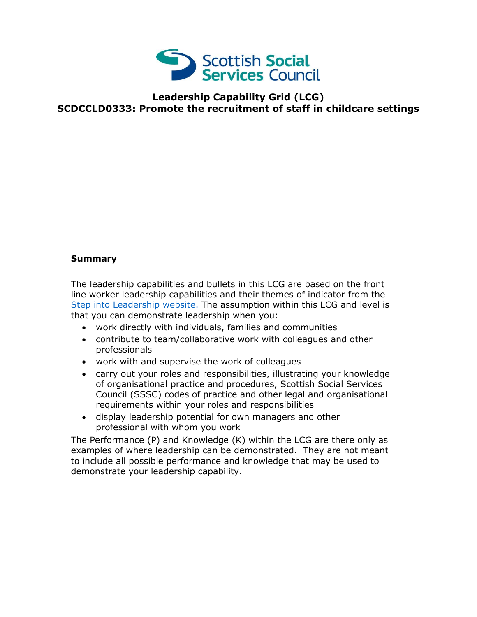

## **Leadership Capability Grid (LCG) SCDCCLD0333: Promote the recruitment of staff in childcare settings**

## **Summary**

The leadership capabilities and bullets in this LCG are based on the front line worker leadership capabilities and their themes of indicator from the [Step into Leadership website.](http://www.stepintoleadership.info/) The assumption within this LCG and level is that you can demonstrate leadership when you:

- work directly with individuals, families and communities
- contribute to team/collaborative work with colleagues and other professionals
- work with and supervise the work of colleagues
- carry out your roles and responsibilities, illustrating your knowledge of organisational practice and procedures, Scottish Social Services Council (SSSC) codes of practice and other legal and organisational requirements within your roles and responsibilities
- display leadership potential for own managers and other professional with whom you work

The Performance (P) and Knowledge (K) within the LCG are there only as examples of where leadership can be demonstrated. They are not meant to include all possible performance and knowledge that may be used to demonstrate your leadership capability.